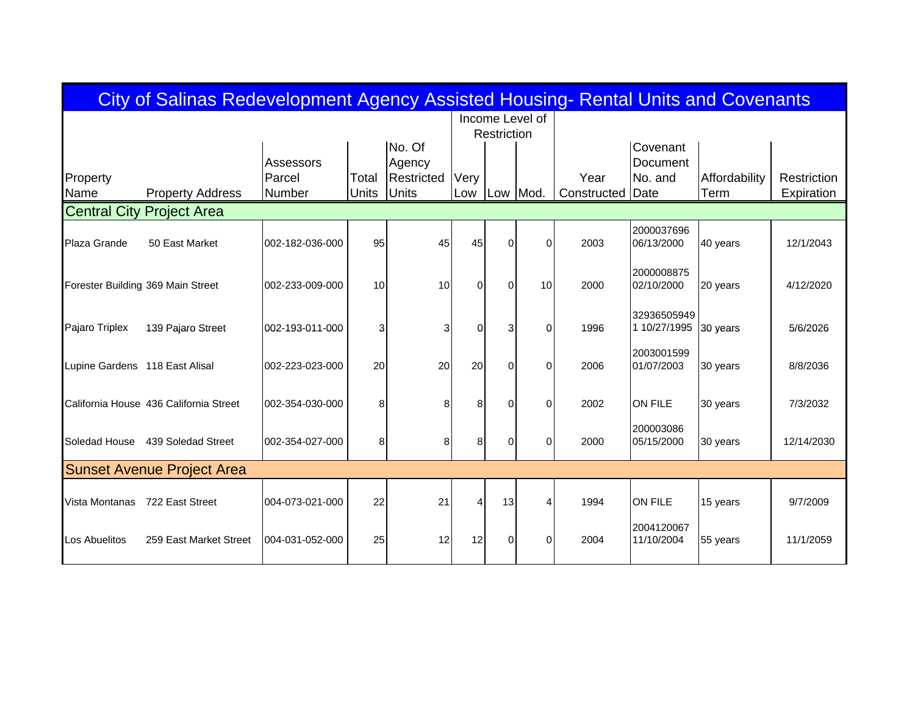| City of Salinas Redevelopment Agency Assisted Housing- Rental Units and Covenants |                                        |                               |                |                                                |             |             |                 |                     |                                         |                       |                           |  |  |
|-----------------------------------------------------------------------------------|----------------------------------------|-------------------------------|----------------|------------------------------------------------|-------------|-------------|-----------------|---------------------|-----------------------------------------|-----------------------|---------------------------|--|--|
|                                                                                   |                                        |                               |                |                                                |             | Restriction | Income Level of |                     |                                         |                       |                           |  |  |
| Property<br>Name                                                                  | <b>Property Address</b>                | Assessors<br>Parcel<br>Number | Total<br>Units | No. Of<br>Agency<br>Restricted<br><b>Units</b> | Verv<br>Low | Low Mod.    |                 | Year<br>Constructed | Covenant<br>Document<br>No. and<br>Date | Affordability<br>Term | Restriction<br>Expiration |  |  |
| <b>Central City</b>                                                               | <b>Project Area</b>                    |                               |                |                                                |             |             |                 |                     |                                         |                       |                           |  |  |
| Plaza Grande                                                                      | 50 East Market                         | 002-182-036-000               | 95             | 45                                             | 45          | $\Omega$    | $\Omega$        | 2003                | 2000037696<br>06/13/2000                | 40 years              | 12/1/2043                 |  |  |
| Forester Building 369 Main Street                                                 |                                        | 002-233-009-000               | 10             | 10                                             | $\Omega$    | $\Omega$    | 10 <sup>1</sup> | 2000                | 2000008875<br>02/10/2000                | 20 years              | 4/12/2020                 |  |  |
| Pajaro Triplex                                                                    | 139 Pajaro Street                      | 002-193-011-000               | 3              | 3                                              | $\Omega$    | 3           | $\Omega$        | 1996                | 32936505949<br>1 10/27/1995             | 30 years              | 5/6/2026                  |  |  |
| Lupine Gardens 118 East Alisal                                                    |                                        | 002-223-023-000               | 20             | 20                                             | 20          | $\Omega$    | $\Omega$        | 2006                | 2003001599<br>01/07/2003                | 30 years              | 8/8/2036                  |  |  |
|                                                                                   | California House 436 California Street | 002-354-030-000               | 8              | 8                                              | 8           | $\Omega$    | $\Omega$        | 2002                | <b>ON FILE</b>                          | 30 years              | 7/3/2032                  |  |  |
| Soledad House                                                                     | 439 Soledad Street                     | 002-354-027-000               | 8              | 8                                              | 8           | $\Omega$    | 0               | 2000                | 200003086<br>05/15/2000                 | 30 years              | 12/14/2030                |  |  |
|                                                                                   | <b>Sunset Avenue Project Area</b>      |                               |                |                                                |             |             |                 |                     |                                         |                       |                           |  |  |
| Vista Montanas                                                                    | 722 East Street                        | 004-073-021-000               | 22             | 21                                             | Δ           | 13          |                 | 1994                | <b>ON FILE</b>                          | 15 years              | 9/7/2009                  |  |  |
| Los Abuelitos                                                                     | 259 East Market Street                 | 004-031-052-000               | 25             | 12                                             | 12          | $\Omega$    | $\Omega$        | 2004                | 2004120067<br>11/10/2004                | 55 years              | 11/1/2059                 |  |  |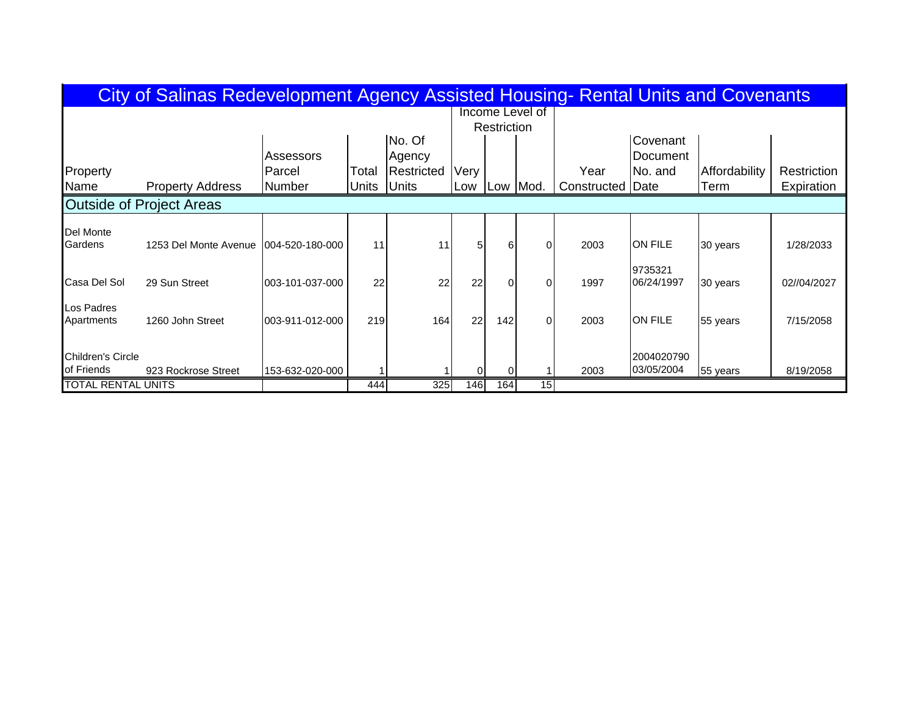| City of Salinas Redevelopment Agency Assisted Housing- Rental Units and Covenants |                         |                 |       |              |                 |          |                |                         |                |               |             |  |  |
|-----------------------------------------------------------------------------------|-------------------------|-----------------|-------|--------------|-----------------|----------|----------------|-------------------------|----------------|---------------|-------------|--|--|
|                                                                                   |                         |                 |       |              | Income Level of |          |                |                         |                |               |             |  |  |
|                                                                                   |                         |                 |       |              | Restriction     |          |                |                         |                |               |             |  |  |
|                                                                                   |                         |                 |       | No. Of       |                 |          |                |                         | Covenant       |               |             |  |  |
|                                                                                   |                         | Assessors       |       | Agency       |                 |          |                |                         | Document       |               |             |  |  |
| Property                                                                          |                         | Parcel          | Total | Restricted   | Very            |          |                | Year                    | No. and        | Affordability | Restriction |  |  |
| Name                                                                              | <b>Property Address</b> | Number          | Units | <b>Units</b> | Low             |          | Low Mod.       | <b>Constructed Date</b> |                | Term          | Expiration  |  |  |
| <b>Outside of Project Areas</b>                                                   |                         |                 |       |              |                 |          |                |                         |                |               |             |  |  |
| Del Monte                                                                         |                         |                 |       |              |                 |          |                |                         |                |               |             |  |  |
| Gardens                                                                           | 1253 Del Monte Avenue   | 004-520-180-000 | 11    | 11           | 51              | 6        | ΟI             | 2003                    | <b>ON FILE</b> | 30 years      | 1/28/2033   |  |  |
|                                                                                   |                         |                 |       |              |                 |          |                |                         | 9735321        |               |             |  |  |
| Casa Del Sol                                                                      | 29 Sun Street           | 003-101-037-000 | 22    | 22           | 22              | $\Omega$ | $\Omega$       | 1997                    | 06/24/1997     | 30 years      | 02//04/2027 |  |  |
| Los Padres                                                                        |                         |                 |       |              |                 |          |                |                         |                |               |             |  |  |
| Apartments                                                                        | 1260 John Street        | 003-911-012-000 | 219   | 164          | 22              | 142      | $\overline{0}$ | 2003                    | <b>ON FILE</b> | 55 years      | 7/15/2058   |  |  |
|                                                                                   |                         |                 |       |              |                 |          |                |                         |                |               |             |  |  |
| <b>Children's Circle</b>                                                          |                         |                 |       |              |                 |          |                |                         | 2004020790     |               |             |  |  |
| of Friends                                                                        | 923 Rockrose Street     | 153-632-020-000 |       |              | 0               | -01      |                | 2003                    | 03/05/2004     | 55 years      | 8/19/2058   |  |  |
| <b>TOTAL RENTAL UNITS</b>                                                         |                         |                 | 444   | 325          | 146             | 164      | 15             |                         |                |               |             |  |  |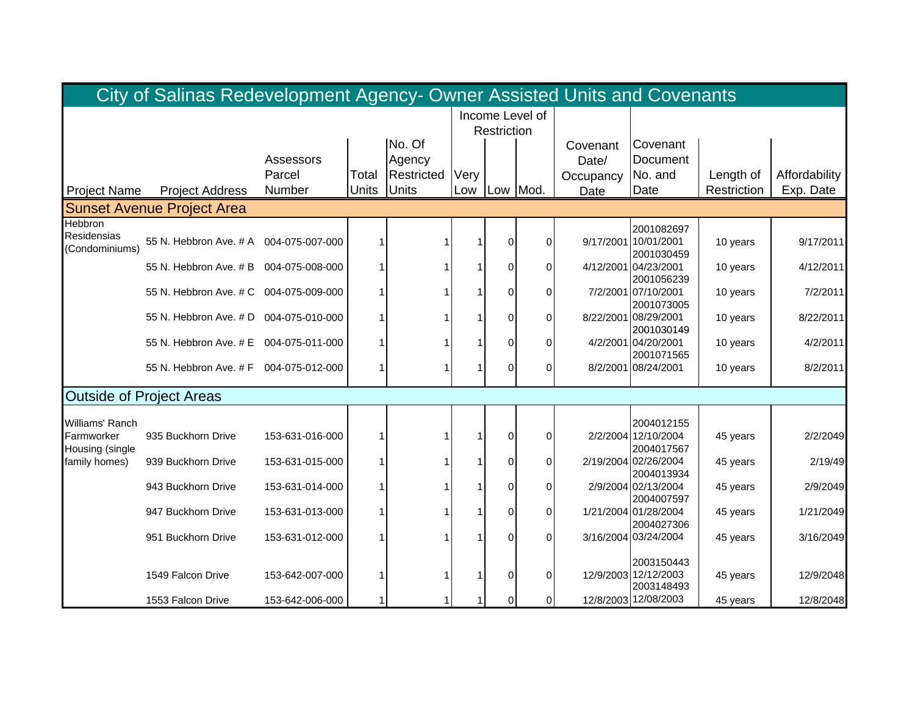|                     | City of Salinas Redevelopment Agency- Owner Assisted Units and Covenants |                 |       |            |                 |                |                |           |                                    |             |               |
|---------------------|--------------------------------------------------------------------------|-----------------|-------|------------|-----------------|----------------|----------------|-----------|------------------------------------|-------------|---------------|
|                     |                                                                          |                 |       |            | Income Level of |                |                |           |                                    |             |               |
|                     |                                                                          |                 |       |            |                 | Restriction    |                |           |                                    |             |               |
|                     |                                                                          |                 |       | No. Of     |                 |                |                | Covenant  | Covenant                           |             |               |
|                     |                                                                          | Assessors       |       | Agency     |                 |                |                | Date/     | Document                           |             |               |
|                     |                                                                          | Parcel          | Total | Restricted | Very            |                |                | Occupancy | No. and                            | Length of   | Affordability |
| <b>Project Name</b> | <b>Project Address</b>                                                   | Number          | Units | Units      | Low             |                | Low Mod.       | Date      | Date                               | Restriction | Exp. Date     |
|                     | <b>Sunset Avenue Project Area</b>                                        |                 |       |            |                 |                |                |           |                                    |             |               |
| Hebbron             |                                                                          |                 |       |            |                 |                |                |           | 2001082697                         |             |               |
| Residensias         | 55 N. Hebbron Ave. # A                                                   | 004-075-007-000 |       |            |                 | $\Omega$       | $\overline{0}$ |           | 9/17/2001 10/01/2001               | 10 years    | 9/17/2011     |
| (Condominiums)      |                                                                          |                 |       |            |                 |                |                |           | 2001030459                         |             |               |
|                     | 55 N. Hebbron Ave. # B                                                   | 004-075-008-000 |       |            |                 | $\Omega$       | $\Omega$       |           | 4/12/2001 04/23/2001               | 10 years    | 4/12/2011     |
|                     |                                                                          |                 |       |            |                 |                |                |           | 2001056239                         |             |               |
|                     | 55 N. Hebbron Ave. # C                                                   | 004-075-009-000 |       |            |                 | $\Omega$       | $\overline{0}$ |           | 7/2/2001 07/10/2001                | 10 years    | 7/2/2011      |
|                     |                                                                          |                 |       |            |                 |                |                |           | 2001073005                         |             |               |
|                     | 55 N. Hebbron Ave. # D 004-075-010-000                                   |                 |       |            |                 | $\Omega$       | $\overline{0}$ |           | 8/22/2001 08/29/2001               | 10 years    | 8/22/2011     |
|                     | 55 N. Hebbron Ave. # E 004-075-011-000                                   |                 |       |            |                 | $\overline{0}$ | $\Omega$       |           | 2001030149<br>4/2/2001 04/20/2001  | 10 years    | 4/2/2011      |
|                     |                                                                          |                 |       |            |                 |                |                |           | 2001071565                         |             |               |
|                     | 55 N. Hebbron Ave. # F 004-075-012-000                                   |                 |       |            |                 | $\Omega$       | $\overline{0}$ |           | 8/2/2001 08/24/2001                | 10 years    | 8/2/2011      |
|                     |                                                                          |                 |       |            |                 |                |                |           |                                    |             |               |
|                     | <b>Outside of Project Areas</b>                                          |                 |       |            |                 |                |                |           |                                    |             |               |
| Williams' Ranch     |                                                                          |                 |       |            |                 |                |                |           | 2004012155                         |             |               |
| Farmworker          | 935 Buckhorn Drive                                                       | 153-631-016-000 |       |            |                 | $\Omega$       | 0              |           | 2/2/2004 12/10/2004                | 45 years    | 2/2/2049      |
| Housing (single     |                                                                          |                 |       |            |                 |                |                |           | 2004017567                         |             |               |
| family homes)       | 939 Buckhorn Drive                                                       | 153-631-015-000 |       |            |                 | $\overline{0}$ | $\overline{0}$ |           | 2/19/2004 02/26/2004               | 45 years    | 2/19/49       |
|                     |                                                                          |                 |       |            |                 |                |                |           | 2004013934                         |             |               |
|                     | 943 Buckhorn Drive                                                       | 153-631-014-000 |       |            |                 | $\Omega$       | $\overline{0}$ |           | 2/9/2004 02/13/2004                | 45 years    | 2/9/2049      |
|                     |                                                                          |                 |       |            |                 |                |                |           | 2004007597                         |             |               |
|                     | 947 Buckhorn Drive                                                       | 153-631-013-000 |       |            |                 | $\Omega$       | $\overline{0}$ |           | 1/21/2004 01/28/2004<br>2004027306 | 45 years    | 1/21/2049     |
|                     | 951 Buckhorn Drive                                                       | 153-631-012-000 |       |            |                 | $\Omega$       | $\Omega$       |           | 3/16/2004 03/24/2004               | 45 years    | 3/16/2049     |
|                     |                                                                          |                 |       |            |                 |                |                |           |                                    |             |               |
|                     |                                                                          |                 |       |            |                 |                |                |           | 2003150443                         |             |               |
|                     | 1549 Falcon Drive                                                        | 153-642-007-000 |       |            |                 | $\Omega$       | $\overline{0}$ |           | 12/9/2003 12/12/2003               | 45 years    | 12/9/2048     |
|                     |                                                                          |                 |       |            |                 |                |                |           | 2003148493                         |             |               |
|                     | 1553 Falcon Drive                                                        | 153-642-006-000 |       |            |                 | $\Omega$       | οI             |           | 12/8/2003 12/08/2003               | 45 years    | 12/8/2048     |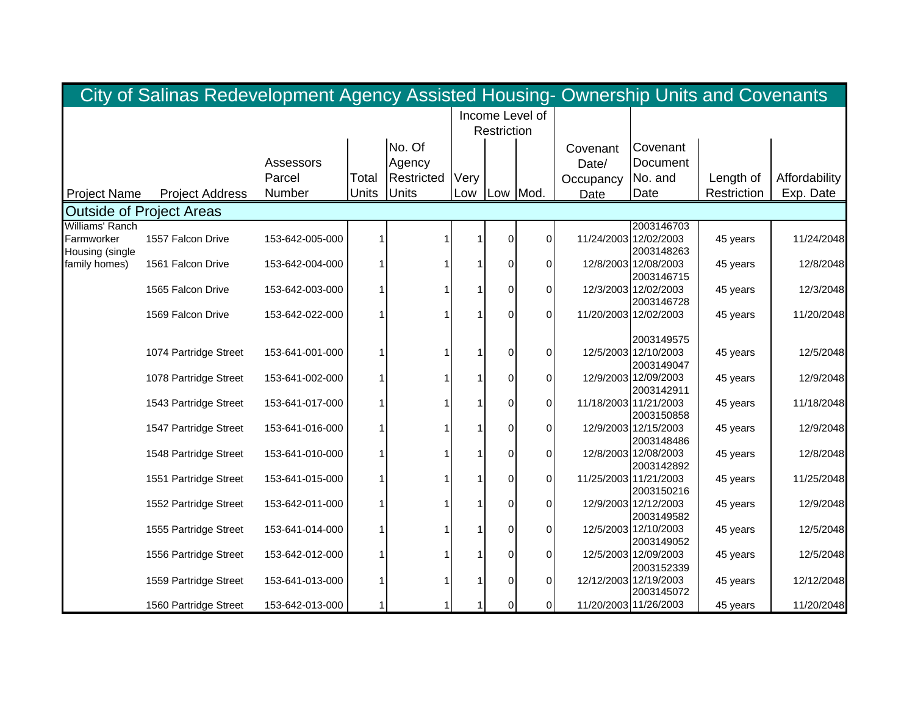|                     | City of Salinas Redevelopment Agency Assisted Housing- Ownership Units and Covenants |                 |       |                   |                 |                |                |           |                                     |             |               |
|---------------------|--------------------------------------------------------------------------------------|-----------------|-------|-------------------|-----------------|----------------|----------------|-----------|-------------------------------------|-------------|---------------|
|                     |                                                                                      |                 |       |                   | Income Level of |                |                |           |                                     |             |               |
|                     |                                                                                      |                 |       |                   |                 | Restriction    |                |           |                                     |             |               |
|                     |                                                                                      |                 |       | No. Of            |                 |                |                | Covenant  | Covenant                            |             |               |
|                     |                                                                                      | Assessors       |       | Agency            |                 |                |                | Date/     | Document                            |             |               |
|                     |                                                                                      | Parcel          | Total | <b>Restricted</b> | Very            |                |                | Occupancy | No. and                             | Length of   | Affordability |
| <b>Project Name</b> | <b>Project Address</b>                                                               | Number          | Units | <b>Units</b>      | Low             |                | Low Mod.       | Date      | Date                                | Restriction | Exp. Date     |
|                     | <b>Outside of Project Areas</b>                                                      |                 |       |                   |                 |                |                |           |                                     |             |               |
| Williams' Ranch     |                                                                                      |                 |       |                   |                 |                |                |           | 2003146703                          |             |               |
| Farmworker          | 1557 Falcon Drive                                                                    | 153-642-005-000 |       |                   |                 | $\overline{0}$ | ΟI             |           | 11/24/2003 12/02/2003               | 45 years    | 11/24/2048    |
| Housing (single     |                                                                                      |                 |       |                   |                 |                |                |           | 2003148263                          |             |               |
| family homes)       | 1561 Falcon Drive                                                                    | 153-642-004-000 |       |                   |                 | $\Omega$       | 0              |           | 12/8/2003 12/08/2003                | 45 years    | 12/8/2048     |
|                     |                                                                                      |                 |       |                   |                 |                |                |           | 2003146715                          |             |               |
|                     | 1565 Falcon Drive                                                                    | 153-642-003-000 |       |                   |                 | $\overline{0}$ | ΟI             |           | 12/3/2003 12/02/2003                | 45 years    | 12/3/2048     |
|                     | 1569 Falcon Drive                                                                    |                 |       |                   |                 | 0              | $\Omega$       |           | 2003146728<br>11/20/2003 12/02/2003 |             | 11/20/2048    |
|                     |                                                                                      | 153-642-022-000 |       |                   |                 |                |                |           |                                     | 45 years    |               |
|                     |                                                                                      |                 |       |                   |                 |                |                |           | 2003149575                          |             |               |
|                     | 1074 Partridge Street                                                                | 153-641-001-000 |       |                   |                 | $\overline{0}$ | 0              |           | 12/5/2003 12/10/2003                | 45 years    | 12/5/2048     |
|                     |                                                                                      |                 |       |                   |                 |                |                |           | 2003149047                          |             |               |
|                     | 1078 Partridge Street                                                                | 153-641-002-000 |       |                   |                 | 0              | 01             |           | 12/9/2003 12/09/2003                | 45 years    | 12/9/2048     |
|                     |                                                                                      |                 |       |                   |                 |                |                |           | 2003142911                          |             |               |
|                     | 1543 Partridge Street                                                                | 153-641-017-000 |       |                   |                 | $\Omega$       | $\Omega$       |           | 11/18/2003 11/21/2003               | 45 years    | 11/18/2048    |
|                     |                                                                                      |                 |       |                   |                 |                |                |           | 2003150858                          |             |               |
|                     | 1547 Partridge Street                                                                | 153-641-016-000 |       |                   |                 | $\Omega$       | ΟI             |           | 12/9/2003 12/15/2003                | 45 years    | 12/9/2048     |
|                     |                                                                                      |                 |       |                   |                 |                |                |           | 2003148486                          |             |               |
|                     | 1548 Partridge Street                                                                | 153-641-010-000 |       |                   |                 | $\Omega$       | ΟI             |           | 12/8/2003 12/08/2003                | 45 years    | 12/8/2048     |
|                     | 1551 Partridge Street                                                                | 153-641-015-000 |       |                   |                 | $\overline{0}$ | $\overline{0}$ |           | 2003142892<br>11/25/2003 11/21/2003 |             | 11/25/2048    |
|                     |                                                                                      |                 |       |                   |                 |                |                |           | 2003150216                          | 45 years    |               |
|                     | 1552 Partridge Street                                                                | 153-642-011-000 |       |                   |                 | $\Omega$       | 0              |           | 12/9/2003 12/12/2003                | 45 years    | 12/9/2048     |
|                     |                                                                                      |                 |       |                   |                 |                |                |           | 2003149582                          |             |               |
|                     | 1555 Partridge Street                                                                | 153-641-014-000 |       |                   |                 | $\overline{0}$ | ΟI             |           | 12/5/2003 12/10/2003                | 45 years    | 12/5/2048     |
|                     |                                                                                      |                 |       |                   |                 |                |                |           | 2003149052                          |             |               |
|                     | 1556 Partridge Street                                                                | 153-642-012-000 |       |                   |                 | $\Omega$       | ΟI             |           | 12/5/2003 12/09/2003                | 45 years    | 12/5/2048     |
|                     |                                                                                      |                 |       |                   |                 |                |                |           | 2003152339                          |             |               |
|                     | 1559 Partridge Street                                                                | 153-641-013-000 |       |                   |                 | $\Omega$       | ΟI             |           | 12/12/2003 12/19/2003               | 45 years    | 12/12/2048    |
|                     |                                                                                      |                 |       |                   |                 |                |                |           | 2003145072                          |             |               |
|                     | 1560 Partridge Street                                                                | 153-642-013-000 |       |                   |                 | $\overline{0}$ | $\overline{0}$ |           | 11/20/2003 11/26/2003               | 45 years    | 11/20/2048    |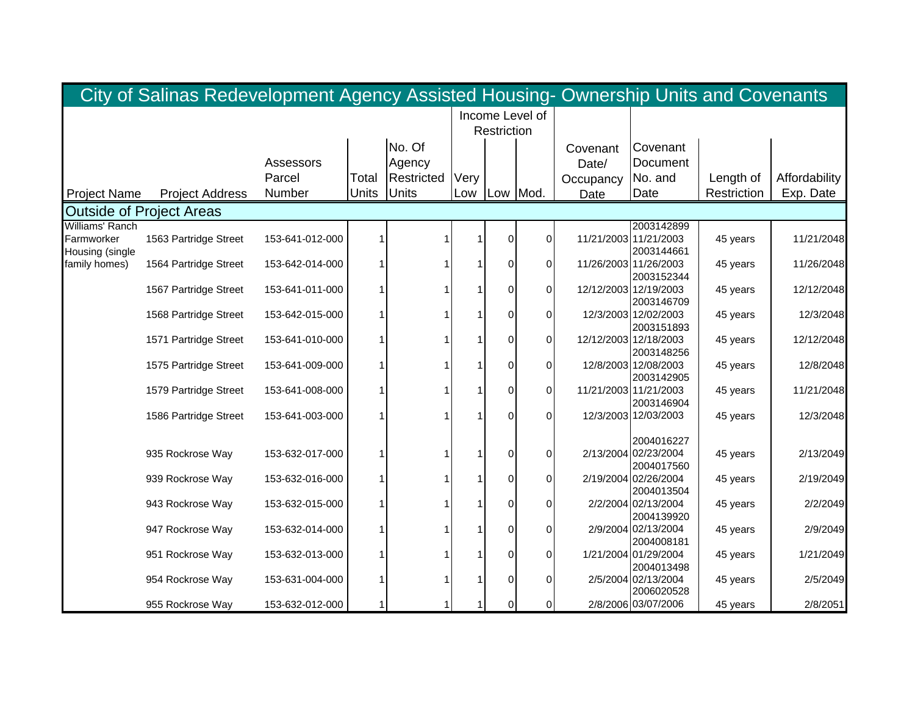|                     | City of Salinas Redevelopment Agency Assisted Housing- Ownership Units and Covenants |                 |       |                   |                 |                |                |           |                                    |             |               |
|---------------------|--------------------------------------------------------------------------------------|-----------------|-------|-------------------|-----------------|----------------|----------------|-----------|------------------------------------|-------------|---------------|
|                     |                                                                                      |                 |       |                   | Income Level of |                |                |           |                                    |             |               |
|                     |                                                                                      |                 |       |                   |                 | Restriction    |                |           |                                    |             |               |
|                     |                                                                                      |                 |       | No. Of            |                 |                |                | Covenant  | Covenant                           |             |               |
|                     |                                                                                      | Assessors       |       | Agency            |                 |                |                | Date/     | Document                           |             |               |
|                     |                                                                                      | Parcel          | Total | <b>Restricted</b> | Very            |                |                | Occupancy | No. and                            | Length of   | Affordability |
| <b>Project Name</b> | <b>Project Address</b>                                                               | Number          | Units | <b>Units</b>      | Low             |                | Low Mod.       | Date      | Date                               | Restriction | Exp. Date     |
|                     | <b>Outside of Project Areas</b>                                                      |                 |       |                   |                 |                |                |           |                                    |             |               |
| Williams' Ranch     |                                                                                      |                 |       |                   |                 |                |                |           | 2003142899                         |             |               |
| Farmworker          | 1563 Partridge Street                                                                | 153-641-012-000 |       |                   |                 | $\overline{0}$ | ΟI             |           | 11/21/2003 11/21/2003              | 45 years    | 11/21/2048    |
| Housing (single     |                                                                                      |                 |       |                   |                 |                |                |           | 2003144661                         |             |               |
| family homes)       | 1564 Partridge Street                                                                | 153-642-014-000 |       |                   |                 | 0              | 0              |           | 11/26/2003 11/26/2003              | 45 years    | 11/26/2048    |
|                     |                                                                                      |                 |       |                   |                 |                |                |           | 2003152344                         |             |               |
|                     | 1567 Partridge Street                                                                | 153-641-011-000 |       |                   |                 | $\overline{0}$ | ΟI             |           | 12/12/2003 12/19/2003              | 45 years    | 12/12/2048    |
|                     |                                                                                      |                 |       |                   |                 |                |                |           | 2003146709                         |             |               |
|                     | 1568 Partridge Street                                                                | 153-642-015-000 |       |                   |                 | $\Omega$       | 01             |           | 12/3/2003 12/02/2003<br>2003151893 | 45 years    | 12/3/2048     |
|                     | 1571 Partridge Street                                                                | 153-641-010-000 |       |                   |                 | $\Omega$       | ΟI             |           | 12/12/2003 12/18/2003              | 45 years    | 12/12/2048    |
|                     |                                                                                      |                 |       |                   |                 |                |                |           | 2003148256                         |             |               |
|                     | 1575 Partridge Street                                                                | 153-641-009-000 |       |                   |                 | $\Omega$       | ΟI             |           | 12/8/2003 12/08/2003               | 45 years    | 12/8/2048     |
|                     |                                                                                      |                 |       |                   |                 |                |                |           | 2003142905                         |             |               |
|                     | 1579 Partridge Street                                                                | 153-641-008-000 |       |                   |                 | $\Omega$       | ΟI             |           | 11/21/2003 11/21/2003              | 45 years    | 11/21/2048    |
|                     |                                                                                      |                 |       |                   |                 |                |                |           | 2003146904                         |             |               |
|                     | 1586 Partridge Street                                                                | 153-641-003-000 |       |                   |                 | $\Omega$       | $\Omega$       |           | 12/3/2003 12/03/2003               | 45 years    | 12/3/2048     |
|                     |                                                                                      |                 |       |                   |                 |                |                |           |                                    |             |               |
|                     |                                                                                      |                 |       |                   |                 |                |                |           | 2004016227                         |             |               |
|                     | 935 Rockrose Way                                                                     | 153-632-017-000 |       |                   |                 | $\Omega$       | 01             |           | 2/13/2004 02/23/2004               | 45 years    | 2/13/2049     |
|                     |                                                                                      |                 |       |                   |                 |                |                |           | 2004017560                         |             |               |
|                     | 939 Rockrose Way                                                                     | 153-632-016-000 |       |                   |                 | $\overline{0}$ | $\overline{0}$ |           | 2/19/2004 02/26/2004<br>2004013504 | 45 years    | 2/19/2049     |
|                     | 943 Rockrose Way                                                                     | 153-632-015-000 |       |                   |                 | $\Omega$       | 01             |           | 2/2/2004 02/13/2004                | 45 years    | 2/2/2049      |
|                     |                                                                                      |                 |       |                   |                 |                |                |           | 2004139920                         |             |               |
|                     | 947 Rockrose Way                                                                     | 153-632-014-000 |       |                   |                 | $\overline{0}$ | <sub>0</sub>   |           | 2/9/2004 02/13/2004                | 45 years    | 2/9/2049      |
|                     |                                                                                      |                 |       |                   |                 |                |                |           | 2004008181                         |             |               |
|                     | 951 Rockrose Way                                                                     | 153-632-013-000 |       |                   |                 | $\Omega$       | ΟI             |           | 1/21/2004 01/29/2004               | 45 years    | 1/21/2049     |
|                     |                                                                                      |                 |       |                   |                 |                |                |           | 2004013498                         |             |               |
|                     | 954 Rockrose Way                                                                     | 153-631-004-000 |       |                   |                 | $\overline{0}$ | ΟI             |           | 2/5/2004 02/13/2004                | 45 years    | 2/5/2049      |
|                     |                                                                                      |                 |       |                   |                 |                |                |           | 2006020528                         |             |               |
|                     | 955 Rockrose Way                                                                     | 153-632-012-000 |       |                   |                 | $\Omega$       | $\overline{0}$ |           | 2/8/2006 03/07/2006                | 45 years    | 2/8/2051      |